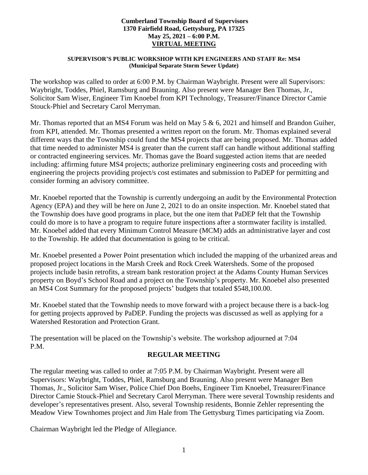#### **Cumberland Township Board of Supervisors 1370 Fairfield Road, Gettysburg, PA 17325 May 25, 2021 – 6:00 P.M. VIRTUAL MEETING**

#### **SUPERVISOR'S PUBLIC WORKSHOP WITH KPI ENGINEERS AND STAFF Re: MS4 (Municipal Separate Storm Sewer Update)**

The workshop was called to order at 6:00 P.M. by Chairman Waybright. Present were all Supervisors: Waybright, Toddes, Phiel, Ramsburg and Brauning. Also present were Manager Ben Thomas, Jr., Solicitor Sam Wiser, Engineer Tim Knoebel from KPI Technology, Treasurer/Finance Director Camie Stouck-Phiel and Secretary Carol Merryman.

Mr. Thomas reported that an MS4 Forum was held on May 5 & 6, 2021 and himself and Brandon Guiher, from KPI, attended. Mr. Thomas presented a written report on the forum. Mr. Thomas explained several different ways that the Township could fund the MS4 projects that are being proposed. Mr. Thomas added that time needed to administer MS4 is greater than the current staff can handle without additional staffing or contracted engineering services. Mr. Thomas gave the Board suggested action items that are needed including: affirming future MS4 projects; authorize preliminary engineering costs and proceeding with engineering the projects providing project/s cost estimates and submission to PaDEP for permitting and consider forming an advisory committee.

Mr. Knoebel reported that the Township is currently undergoing an audit by the Environmental Protection Agency (EPA) and they will be here on June 2, 2021 to do an onsite inspection. Mr. Knoebel stated that the Township does have good programs in place, but the one item that PaDEP felt that the Township could do more is to have a program to require future inspections after a stormwater facility is installed. Mr. Knoebel added that every Minimum Control Measure (MCM) adds an administrative layer and cost to the Township. He added that documentation is going to be critical.

Mr. Knoebel presented a Power Point presentation which included the mapping of the urbanized areas and proposed project locations in the Marsh Creek and Rock Creek Watersheds. Some of the proposed projects include basin retrofits, a stream bank restoration project at the Adams County Human Services property on Boyd's School Road and a project on the Township's property. Mr. Knoebel also presented an MS4 Cost Summary for the proposed projects' budgets that totaled \$548,100.00.

Mr. Knoebel stated that the Township needs to move forward with a project because there is a back-log for getting projects approved by PaDEP. Funding the projects was discussed as well as applying for a Watershed Restoration and Protection Grant.

The presentation will be placed on the Township's website. The workshop adjourned at 7:04 P.M.

## **REGULAR MEETING**

The regular meeting was called to order at 7:05 P.M. by Chairman Waybright. Present were all Supervisors: Waybright, Toddes, Phiel, Ramsburg and Brauning. Also present were Manager Ben Thomas, Jr., Solicitor Sam Wiser, Police Chief Don Boehs, Engineer Tim Knoebel, Treasurer/Finance Director Camie Stouck-Phiel and Secretary Carol Merryman. There were several Township residents and developer's representatives present. Also, several Township residents, Bonnie Zehler representing the Meadow View Townhomes project and Jim Hale from The Gettysburg Times participating via Zoom.

Chairman Waybright led the Pledge of Allegiance.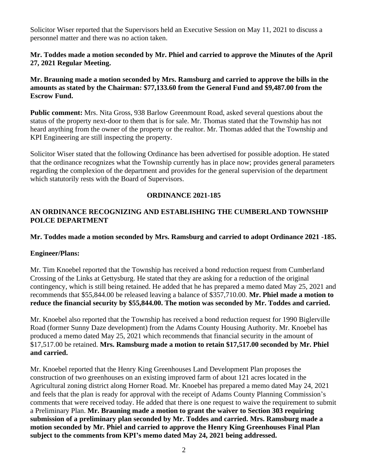Solicitor Wiser reported that the Supervisors held an Executive Session on May 11, 2021 to discuss a personnel matter and there was no action taken.

# **Mr. Toddes made a motion seconded by Mr. Phiel and carried to approve the Minutes of the April 27, 2021 Regular Meeting.**

## **Mr. Brauning made a motion seconded by Mrs. Ramsburg and carried to approve the bills in the amounts as stated by the Chairman: \$77,133.60 from the General Fund and \$9,487.00 from the Escrow Fund.**

**Public comment:** Mrs. Nita Gross, 938 Barlow Greenmount Road, asked several questions about the status of the property next-door to them that is for sale. Mr. Thomas stated that the Township has not heard anything from the owner of the property or the realtor. Mr. Thomas added that the Township and KPI Engineering are still inspecting the property.

Solicitor Wiser stated that the following Ordinance has been advertised for possible adoption. He stated that the ordinance recognizes what the Township currently has in place now; provides general parameters regarding the complexion of the department and provides for the general supervision of the department which statutorily rests with the Board of Supervisors.

## **ORDINANCE 2021-185**

## **AN ORDINANCE RECOGNIZING AND ESTABLISHING THE CUMBERLAND TOWNSHIP POLCE DEPARTMENT**

#### **Mr. Toddes made a motion seconded by Mrs. Ramsburg and carried to adopt Ordinance 2021 -185.**

## **Engineer/Plans:**

Mr. Tim Knoebel reported that the Township has received a bond reduction request from Cumberland Crossing of the Links at Gettysburg. He stated that they are asking for a reduction of the original contingency, which is still being retained. He added that he has prepared a memo dated May 25, 2021 and recommends that \$55,844.00 be released leaving a balance of \$357,710.00. **Mr. Phiel made a motion to reduce the financial security by \$55,844.00. The motion was seconded by Mr. Toddes and carried.**

Mr. Knoebel also reported that the Township has received a bond reduction request for 1990 Biglerville Road (former Sunny Daze development) from the Adams County Housing Authority. Mr. Knoebel has produced a memo dated May 25, 2021 which recommends that financial security in the amount of \$17,517.00 be retained. **Mrs. Ramsburg made a motion to retain \$17,517.00 seconded by Mr. Phiel and carried.** 

Mr. Knoebel reported that the Henry King Greenhouses Land Development Plan proposes the construction of two greenhouses on an existing improved farm of about 121 acres located in the Agricultural zoning district along Horner Road. Mr. Knoebel has prepared a memo dated May 24, 2021 and feels that the plan is ready for approval with the receipt of Adams County Planning Commission's comments that were received today. He added that there is one request to waive the requirement to submit a Preliminary Plan. **Mr. Brauning made a motion to grant the waiver to Section 303 requiring submission of a preliminary plan seconded by Mr. Toddes and carried. Mrs. Ramsburg made a motion seconded by Mr. Phiel and carried to approve the Henry King Greenhouses Final Plan subject to the comments from KPI's memo dated May 24, 2021 being addressed.**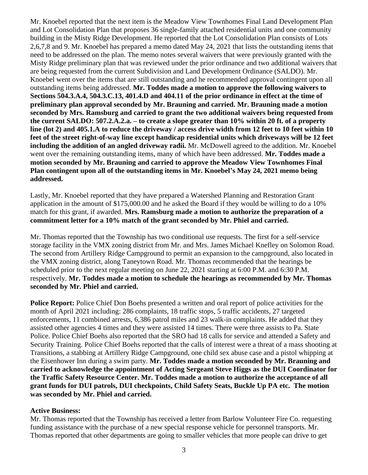Mr. Knoebel reported that the next item is the Meadow View Townhomes Final Land Development Plan and Lot Consolidation Plan that proposes 36 single-family attached residential units and one community building in the Misty Ridge Development. He reported that the Lot Consolidation Plan consists of Lots 2,6,7,8 and 9. Mr. Knoebel has prepared a memo dated May 24, 2021 that lists the outstanding items that need to be addressed on the plan. The memo notes several waivers that were previously granted with the Misty Ridge preliminary plan that was reviewed under the prior ordinance and two additional waivers that are being requested from the current Subdivision and Land Development Ordinance (SALDO). Mr. Knoebel went over the items that are still outstanding and he recommended approval contingent upon all outstanding items being addressed. **Mr. Toddes made a motion to approve the following waivers to Sections 504.3.A.4, 504.3.C.13, 401.4.D and 404.11 of the prior ordinance in effect at the time of preliminary plan approval seconded by Mr. Brauning and carried. Mr. Brauning made a motion seconded by Mrs. Ramsburg and carried to grant the two additional waivers being requested from the current SALDO: 507.2.A.2.a. – to create a slope greater than 10% within 20 ft. of a property line (lot 2) and 405.1.A to reduce the driveway / access drive width from 12 feet to 10 feet within 10 feet of the street right-of-way line except handicap residential units which driveways will be 12 feet including the addition of an angled driveway radii.** Mr. McDowell agreed to the addition. Mr. Knoebel went over the remaining outstanding items, many of which have been addressed. **Mr. Toddes made a motion seconded by Mr. Brauning and carried to approve the Meadow View Townhomes Final Plan contingent upon all of the outstanding items in Mr. Knoebel's May 24, 2021 memo being addressed.** 

Lastly, Mr. Knoebel reported that they have prepared a Watershed Planning and Restoration Grant application in the amount of \$175,000.00 and he asked the Board if they would be willing to do a 10% match for this grant, if awarded. **Mrs. Ramsburg made a motion to authorize the preparation of a commitment letter for a 10% match of the grant seconded by Mr. Phiel and carried.**

Mr. Thomas reported that the Township has two conditional use requests. The first for a self-service storage facility in the VMX zoning district from Mr. and Mrs. James Michael Knefley on Solomon Road. The second from Artillery Ridge Campground to permit an expansion to the campground, also located in the VMX zoning district, along Taneytown Road. Mr. Thomas recommended that the hearings be scheduled prior to the next regular meeting on June 22, 2021 starting at 6:00 P.M. and 6:30 P.M. respectively. **Mr. Toddes made a motion to schedule the hearings as recommended by Mr. Thomas seconded by Mr. Phiel and carried.**

**Police Report:** Police Chief Don Boehs presented a written and oral report of police activities for the month of April 2021 including: 286 complaints, 18 traffic stops, 5 traffic accidents, 27 targeted enforcements, 11 combined arrests, 6,386 patrol miles and 23 walk-in complaints. He added that they assisted other agencies 4 times and they were assisted 14 times. There were three assists to Pa. State Police. Police Chief Boehs also reported that the SRO had 18 calls for service and attended a Safety and Security Training. Police Chief Boehs reported that the calls of interest were a threat of a mass shooting at Transitions, a stabbing at Artillery Ridge Campground, one child sex abuse case and a pistol whipping at the Eisenhower Inn during a swim party. **Mr. Toddes made a motion seconded by Mr. Brauning and carried to acknowledge the appointment of Acting Sergeant Steve Higgs as the DUI Coordinator for the Traffic Safety Resource Center. Mr. Toddes made a motion to authorize the acceptance of all grant funds for DUI patrols, DUI checkpoints, Child Safety Seats, Buckle Up PA etc. The motion was seconded by Mr. Phiel and carried.**

#### **Active Business:**

Mr. Thomas reported that the Township has received a letter from Barlow Volunteer Fire Co. requesting funding assistance with the purchase of a new special response vehicle for personnel transports. Mr. Thomas reported that other departments are going to smaller vehicles that more people can drive to get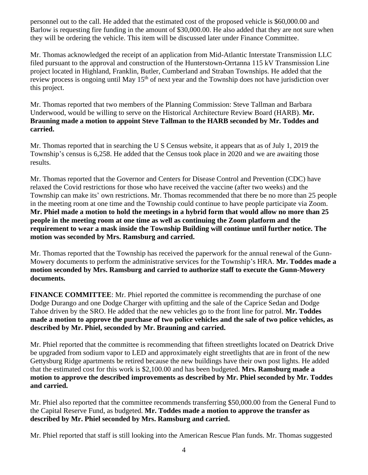personnel out to the call. He added that the estimated cost of the proposed vehicle is \$60,000.00 and Barlow is requesting fire funding in the amount of \$30,000.00. He also added that they are not sure when they will be ordering the vehicle. This item will be discussed later under Finance Committee.

Mr. Thomas acknowledged the receipt of an application from Mid-Atlantic Interstate Transmission LLC filed pursuant to the approval and construction of the Hunterstown-Orrtanna 115 kV Transmission Line project located in Highland, Franklin, Butler, Cumberland and Straban Townships. He added that the review process is ongoing until May 15<sup>th</sup> of next year and the Township does not have jurisdiction over this project.

Mr. Thomas reported that two members of the Planning Commission: Steve Tallman and Barbara Underwood, would be willing to serve on the Historical Architecture Review Board (HARB). **Mr. Brauning made a motion to appoint Steve Tallman to the HARB seconded by Mr. Toddes and carried.** 

Mr. Thomas reported that in searching the U S Census website, it appears that as of July 1, 2019 the Township's census is 6,258. He added that the Census took place in 2020 and we are awaiting those results.

Mr. Thomas reported that the Governor and Centers for Disease Control and Prevention (CDC) have relaxed the Covid restrictions for those who have received the vaccine (after two weeks) and the Township can make its' own restrictions. Mr. Thomas recommended that there be no more than 25 people in the meeting room at one time and the Township could continue to have people participate via Zoom. **Mr. Phiel made a motion to hold the meetings in a hybrid form that would allow no more than 25 people in the meeting room at one time as well as continuing the Zoom platform and the requirement to wear a mask inside the Township Building will continue until further notice. The motion was seconded by Mrs. Ramsburg and carried.** 

Mr. Thomas reported that the Township has received the paperwork for the annual renewal of the Gunn-Mowery documents to perform the administrative services for the Township's HRA. **Mr. Toddes made a motion seconded by Mrs. Ramsburg and carried to authorize staff to execute the Gunn-Mowery documents.** 

**FINANCE COMMITTEE**: Mr. Phiel reported the committee is recommending the purchase of one Dodge Durango and one Dodge Charger with upfitting and the sale of the Caprice Sedan and Dodge Tahoe driven by the SRO. He added that the new vehicles go to the front line for patrol. **Mr. Toddes made a motion to approve the purchase of two police vehicles and the sale of two police vehicles, as described by Mr. Phiel, seconded by Mr. Brauning and carried.** 

Mr. Phiel reported that the committee is recommending that fifteen streetlights located on Deatrick Drive be upgraded from sodium vapor to LED and approximately eight streetlights that are in front of the new Gettysburg Ridge apartments be retired because the new buildings have their own post lights. He added that the estimated cost for this work is \$2,100.00 and has been budgeted. **Mrs. Ramsburg made a motion to approve the described improvements as described by Mr. Phiel seconded by Mr. Toddes and carried.**

Mr. Phiel also reported that the committee recommends transferring \$50,000.00 from the General Fund to the Capital Reserve Fund, as budgeted. **Mr. Toddes made a motion to approve the transfer as described by Mr. Phiel seconded by Mrs. Ramsburg and carried.** 

Mr. Phiel reported that staff is still looking into the American Rescue Plan funds. Mr. Thomas suggested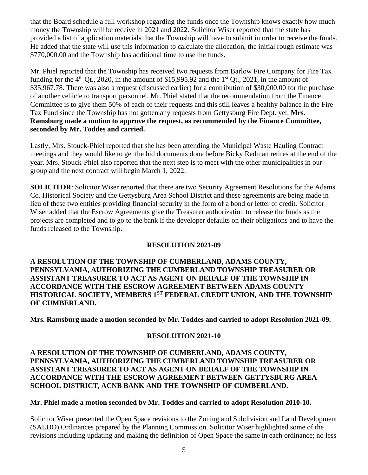that the Board schedule a full workshop regarding the funds once the Township knows exactly how much money the Township will be receive in 2021 and 2022. Solicitor Wiser reported that the state has provided a list of application materials that the Township will have to submit in order to receive the funds. He added that the state will use this information to calculate the allocation, the initial rough estimate was \$770,000.00 and the Township has additional time to use the funds.

Mr. Phiel reported that the Township has received two requests from Barlow Fire Company for Fire Tax funding for the  $4<sup>th</sup>$  Qt., 2020, in the amount of \$15,995.92 and the  $1<sup>st</sup>$  Qt., 2021, in the amount of \$35,967.78. There was also a request (discussed earlier) for a contribution of \$30,000.00 for the purchase of another vehicle to transport personnel. Mr. Phiel stated that the recommendation from the Finance Committee is to give them 50% of each of their requests and this still leaves a healthy balance in the Fire Tax Fund since the Township has not gotten any requests from Gettysburg Fire Dept. yet. **Mrs. Ramsburg made a motion to approve the request, as recommended by the Finance Committee, seconded by Mr. Toddes and carried.**

Lastly, Mrs. Stouck-Phiel reported that she has been attending the Municipal Waste Hauling Contract meetings and they would like to get the bid documents done before Bicky Redman retires at the end of the year. Mrs. Stouck-Phiel also reported that the next step is to meet with the other municipalities in our group and the next contract will begin March 1, 2022.

**SOLICITOR**: Solicitor Wiser reported that there are two Security Agreement Resolutions for the Adams Co. Historical Society and the Gettysburg Area School District and these agreements are being made in lieu of these two entities providing financial security in the form of a bond or letter of credit. Solicitor Wiser added that the Escrow Agreements give the Treasurer authorization to release the funds as the projects are completed and to go to the bank if the developer defaults on their obligations and to have the funds released to the Township.

## **RESOLUTION 2021-09**

## **A RESOLUTION OF THE TOWNSHIP OF CUMBERLAND, ADAMS COUNTY, PENNSYLVANIA, AUTHORIZING THE CUMBERLAND TOWNSHIP TREASURER OR ASSISTANT TREASURER TO ACT AS AGENT ON BEHALF OF THE TOWNSHIP IN ACCORDANCE WITH THE ESCROW AGREEMENT BETWEEN ADAMS COUNTY HISTORICAL SOCIETY, MEMBERS 1ST FEDERAL CREDIT UNION, AND THE TOWNSHIP OF CUMBERLAND.**

**Mrs. Ramsburg made a motion seconded by Mr. Toddes and carried to adopt Resolution 2021-09.** 

## **RESOLUTION 2021-10**

#### **A RESOLUTION OF THE TOWNSHIP OF CUMBERLAND, ADAMS COUNTY, PENNSYLVANIA, AUTHORIZING THE CUMBERLAND TOWNSHIP TREASURER OR ASSISTANT TREASURER TO ACT AS AGENT ON BEHALF OF THE TOWNSHIP IN ACCORDANCE WITH THE ESCROW AGREEMENT BETWEEN GETTYSBURG AREA SCHOOL DISTRICT, ACNB BANK AND THE TOWNSHIP OF CUMBERLAND.**

## **Mr. Phiel made a motion seconded by Mr. Toddes and carried to adopt Resolution 2010-10.**

Solicitor Wiser presented the Open Space revisions to the Zoning and Subdivision and Land Development (SALDO) Ordinances prepared by the Planning Commission. Solicitor Wiser highlighted some of the revisions including updating and making the definition of Open Space the same in each ordinance; no less